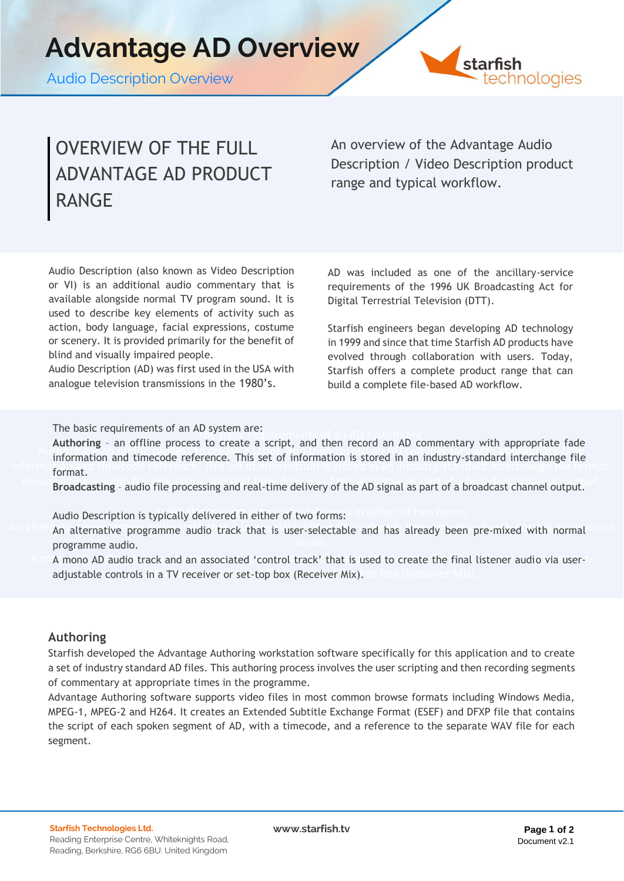Audio Description Overview



## OVERVIEW OF THE FULL ADVANTAGE AD PRODUCT RANGE

An overview of the Advantage Audio Description / Video Description product range and typical workflow.

Audio Description (also known as Video Description or VI) is an additional audio commentary that is available alongside normal TV program sound. It is used to describe key elements of activity such as action, body language, facial expressions, costume or scenery. It is provided primarily for the benefit of blind and visually impaired people.

Audio Description (AD) was first used in the USA with analogue television transmissions in the 1980's.

AD was included as one of the ancillary-service requirements of the 1996 UK Broadcasting Act for Digital Terrestrial Television (DTT).

Starfish engineers began developing AD technology in 1999 and since that time Starfish AD products have evolved through collaboration with users. Today, Starfish offers a complete product range that can build a complete file-based AD workflow.

The basic requirements of an AD system are:

The basic requirements of an AD system are: **Authoring** – an offline process to create a script, and then record an AD commentary with appropriate fade Authoring – an offline process to create a script, and then record an AD commentary with appropriate fade information and timecode reference. This set of information is stored in an industry-standard interchange file<br>format format.

Broadcasting - audio file processing and real-time delivery of the AD signal as part of a broadcast channel output.

Audio Description is typically delivered in either of two forms: Audio Description is typically delivered in either of two forms:

- An alternative programme audio track that is user-selectable and has already been pre-mixed with normal mine programme audio.
	- A m A mono AD audio track and an associated 'control track' that is used to create the final listener audio via useradjustable controls in a TV receiver or set-top box (Receiver Mix). op box (Receiver Mix).

### **Authoring**

Starfish developed the Advantage Authoring workstation software specifically for this application and to create a set of industry standard AD files. This authoring process involves the user scripting and then recording segments of commentary at appropriate times in the programme.

Advantage Authoring software supports video files in most common browse formats including Windows Media, MPEG-1, MPEG-2 and H264. It creates an Extended Subtitle Exchange Format (ESEF) and DFXP file that contains the script of each spoken segment of AD, with a timecode, and a reference to the separate WAV file for each segment.